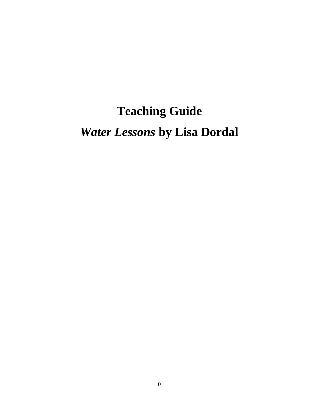# **Teaching Guide** *Water Lessons* **by Lisa Dordal**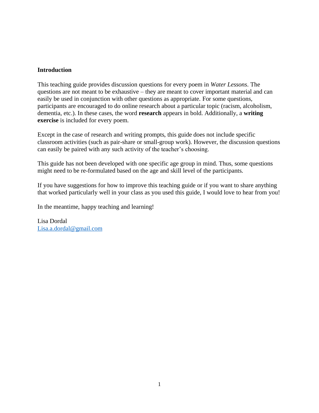# **Introduction**

This teaching guide provides discussion questions for every poem in *Water Lessons*. The questions are not meant to be exhaustive – they are meant to cover important material and can easily be used in conjunction with other questions as appropriate. For some questions, participants are encouraged to do online research about a particular topic (racism, alcoholism, dementia, etc.). In these cases, the word **research** appears in bold. Additionally, a **writing exercise** is included for every poem.

Except in the case of research and writing prompts, this guide does not include specific classroom activities (such as pair-share or small-group work). However, the discussion questions can easily be paired with any such activity of the teacher's choosing.

This guide has not been developed with one specific age group in mind. Thus, some questions might need to be re-formulated based on the age and skill level of the participants.

If you have suggestions for how to improve this teaching guide or if you want to share anything that worked particularly well in your class as you used this guide, I would love to hear from you!

In the meantime, happy teaching and learning!

Lisa Dordal [Lisa.a.dordal@gmail.com](mailto:Lisa.a.dordal@gmail.com)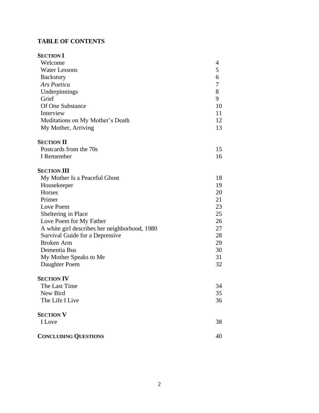# **TABLE OF CONTENTS**

| <b>SECTION I</b>                              |    |
|-----------------------------------------------|----|
| Welcome                                       | 4  |
| <b>Water Lessons</b>                          | 5  |
| <b>Backstory</b>                              | 6  |
| Ars Poetica                                   | 7  |
| Underpinnings                                 | 8  |
| Grief                                         | 9  |
| Of One Substance                              | 10 |
| Interview                                     | 11 |
| Meditations on My Mother's Death              | 12 |
| My Mother, Arriving                           | 13 |
| <b>SECTION II</b>                             |    |
| Postcards from the 70s                        | 15 |
| I Remember                                    | 16 |
| <b>SECTION III</b>                            |    |
| My Mother Is a Peaceful Ghost                 | 18 |
| Housekeeper                                   | 19 |
| Horses                                        | 20 |
| Primer                                        | 21 |
| Love Poem                                     | 23 |
| Sheltering in Place                           | 25 |
| Love Poem for My Father                       | 26 |
| A white girl describes her neighborhood, 1980 | 27 |
| Survival Guide for a Depressive               | 28 |
| <b>Broken Arm</b>                             | 29 |
| Dementia Bus                                  | 30 |
| My Mother Speaks to Me                        | 31 |
| Daughter Poem                                 | 32 |
| <b>SECTION IV</b>                             |    |
| The Last Time                                 | 34 |
| New Bird                                      | 35 |
| The Life I Live                               | 36 |
| <b>SECTION V</b>                              |    |
| I Love                                        | 38 |
| <b>CONCLUDING QUESTIONS</b>                   | 40 |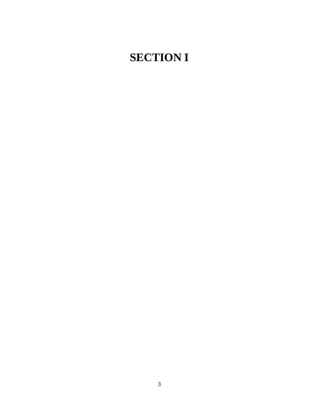# **SECTION I**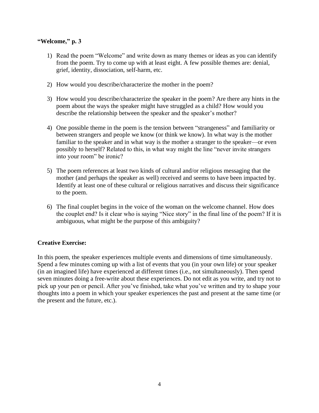# **"Welcome," p. 3**

- 1) Read the poem "Welcome" and write down as many themes or ideas as you can identify from the poem. Try to come up with at least eight. A few possible themes are: denial, grief, identity, dissociation, self-harm, etc.
- 2) How would you describe/characterize the mother in the poem?
- 3) How would you describe/characterize the speaker in the poem? Are there any hints in the poem about the ways the speaker might have struggled as a child? How would you describe the relationship between the speaker and the speaker's mother?
- 4) One possible theme in the poem is the tension between "strangeness" and familiarity or between strangers and people we know (or think we know). In what way is the mother familiar to the speaker and in what way is the mother a stranger to the speaker—or even possibly to herself? Related to this, in what way might the line "never invite strangers into your room" be ironic?
- 5) The poem references at least two kinds of cultural and/or religious messaging that the mother (and perhaps the speaker as well) received and seems to have been impacted by. Identify at least one of these cultural or religious narratives and discuss their significance to the poem.
- 6) The final couplet begins in the voice of the woman on the welcome channel. How does the couplet end? Is it clear who is saying "Nice story" in the final line of the poem? If it is ambiguous, what might be the purpose of this ambiguity?

# **Creative Exercise:**

In this poem, the speaker experiences multiple events and dimensions of time simultaneously. Spend a few minutes coming up with a list of events that you (in your own life) or your speaker (in an imagined life) have experienced at different times (i.e., not simultaneously). Then spend seven minutes doing a free-write about these experiences. Do not edit as you write, and try not to pick up your pen or pencil. After you've finished, take what you've written and try to shape your thoughts into a poem in which your speaker experiences the past and present at the same time (or the present and the future, etc.).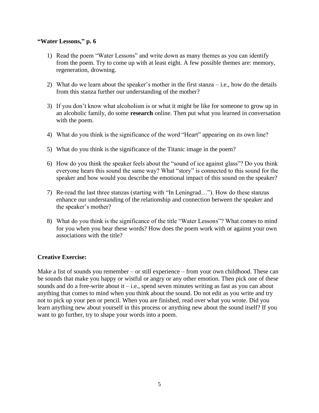#### **"Water Lessons," p. 6**

- 1) Read the poem "Water Lessons" and write down as many themes as you can identify from the poem. Try to come up with at least eight. A few possible themes are: memory, regeneration, drowning.
- 2) What do we learn about the speaker's mother in the first stanza i.e., how do the details from this stanza further our understanding of the mother?
- 3) If you don't know what alcoholism is or what it might be like for someone to grow up in an alcoholic family, do some **research** online. Then put what you learned in conversation with the poem.
- 4) What do you think is the significance of the word "Heart" appearing on its own line?
- 5) What do you think is the significance of the Titanic image in the poem?
- 6) How do you think the speaker feels about the "sound of ice against glass"? Do you think everyone hears this sound the same way? What "story" is connected to this sound for the speaker and how would you describe the emotional impact of this sound on the speaker?
- 7) Re-read the last three stanzas (starting with "In Leningrad…"). How do these stanzas enhance our understanding of the relationship and connection between the speaker and the speaker's mother?
- 8) What do you think is the significance of the title "Water Lessons"? What comes to mind for you when you hear these words? How does the poem work with or against your own associations with the title?

### **Creative Exercise:**

Make a list of sounds you remember – or still experience – from your own childhood. These can be sounds that make you happy or wistful or angry or any other emotion. Then pick one of these sounds and do a free-write about it – i.e., spend seven minutes writing as fast as you can about anything that comes to mind when you think about the sound. Do not edit as you write and try not to pick up your pen or pencil. When you are finished, read over what you wrote. Did you learn anything new about yourself in this process or anything new about the sound itself? If you want to go further, try to shape your words into a poem.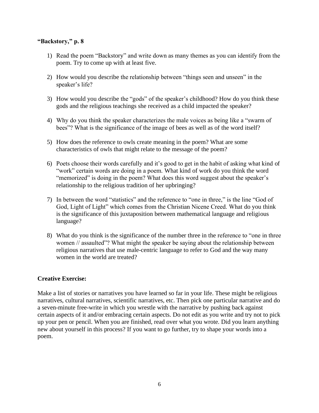# **"Backstory," p. 8**

- 1) Read the poem "Backstory" and write down as many themes as you can identify from the poem. Try to come up with at least five.
- 2) How would you describe the relationship between "things seen and unseen" in the speaker's life?
- 3) How would you describe the "gods" of the speaker's childhood? How do you think these gods and the religious teachings she received as a child impacted the speaker?
- 4) Why do you think the speaker characterizes the male voices as being like a "swarm of bees"? What is the significance of the image of bees as well as of the word itself?
- 5) How does the reference to owls create meaning in the poem? What are some characteristics of owls that might relate to the message of the poem?
- 6) Poets choose their words carefully and it's good to get in the habit of asking what kind of "work" certain words are doing in a poem. What kind of work do you think the word "memorized" is doing in the poem? What does this word suggest about the speaker's relationship to the religious tradition of her upbringing?
- 7) In between the word "statistics" and the reference to "one in three," is the line "God of God, Light of Light" which comes from the Christian Nicene Creed. What do you think is the significance of this juxtaposition between mathematical language and religious language?
- 8) What do you think is the significance of the number three in the reference to "one in three women // assaulted"? What might the speaker be saying about the relationship between religious narratives that use male-centric language to refer to God and the way many women in the world are treated?

# **Creative Exercise:**

Make a list of stories or narratives you have learned so far in your life. These might be religious narratives, cultural narratives, scientific narratives, etc. Then pick one particular narrative and do a seven-minute free-write in which you wrestle with the narrative by pushing back against certain aspects of it and/or embracing certain aspects. Do not edit as you write and try not to pick up your pen or pencil. When you are finished, read over what you wrote. Did you learn anything new about yourself in this process? If you want to go further, try to shape your words into a poem.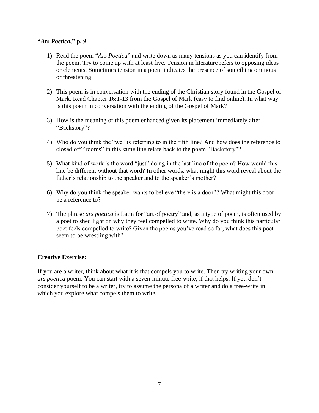# **"***Ars Poetica***," p. 9**

- 1) Read the poem "*Ars Poetica*" and write down as many tensions as you can identify from the poem. Try to come up with at least five. Tension in literature refers to opposing ideas or elements. Sometimes tension in a poem indicates the presence of something ominous or threatening.
- 2) This poem is in conversation with the ending of the Christian story found in the Gospel of Mark. Read Chapter 16:1-13 from the Gospel of Mark (easy to find online). In what way is this poem in conversation with the ending of the Gospel of Mark?
- 3) How is the meaning of this poem enhanced given its placement immediately after "Backstory"?
- 4) Who do you think the "we" is referring to in the fifth line? And how does the reference to closed off "rooms" in this same line relate back to the poem "Backstory"?
- 5) What kind of work is the word "just" doing in the last line of the poem? How would this line be different without that word? In other words, what might this word reveal about the father's relationship to the speaker and to the speaker's mother?
- 6) Why do you think the speaker wants to believe "there is a door"? What might this door be a reference to?
- 7) The phrase *ars poetica* is Latin for "art of poetry" and, as a type of poem, is often used by a poet to shed light on why they feel compelled to write. Why do you think this particular poet feels compelled to write? Given the poems you've read so far, what does this poet seem to be wrestling with?

# **Creative Exercise:**

If you are a writer, think about what it is that compels you to write. Then try writing your own *ars poetica* poem. You can start with a seven-minute free-write, if that helps. If you don't consider yourself to be a writer, try to assume the persona of a writer and do a free-write in which you explore what compels them to write.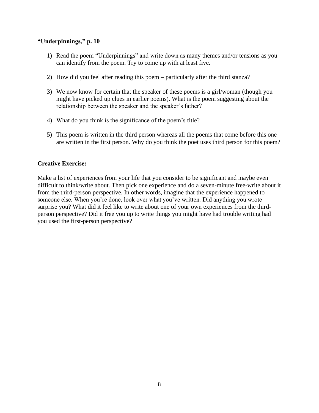# **"Underpinnings***,***" p. 10**

- 1) Read the poem "Underpinnings" and write down as many themes and/or tensions as you can identify from the poem. Try to come up with at least five.
- 2) How did you feel after reading this poem particularly after the third stanza?
- 3) We now know for certain that the speaker of these poems is a girl/woman (though you might have picked up clues in earlier poems). What is the poem suggesting about the relationship between the speaker and the speaker's father?
- 4) What do you think is the significance of the poem's title?
- 5) This poem is written in the third person whereas all the poems that come before this one are written in the first person. Why do you think the poet uses third person for this poem?

# **Creative Exercise:**

Make a list of experiences from your life that you consider to be significant and maybe even difficult to think/write about. Then pick one experience and do a seven-minute free-write about it from the third-person perspective. In other words, imagine that the experience happened to someone else. When you're done, look over what you've written. Did anything you wrote surprise you? What did it feel like to write about one of your own experiences from the thirdperson perspective? Did it free you up to write things you might have had trouble writing had you used the first-person perspective?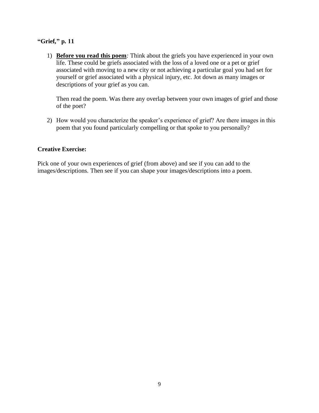# **"Grief***,***" p. 11**

1) **Before you read this poem***:* Think about the griefs you have experienced in your own life. These could be griefs associated with the loss of a loved one or a pet or grief associated with moving to a new city or not achieving a particular goal you had set for yourself or grief associated with a physical injury, etc. Jot down as many images or descriptions of your grief as you can.

Then read the poem. Was there any overlap between your own images of grief and those of the poet?

2) How would you characterize the speaker's experience of grief? Are there images in this poem that you found particularly compelling or that spoke to you personally?

### **Creative Exercise:**

Pick one of your own experiences of grief (from above) and see if you can add to the images/descriptions. Then see if you can shape your images/descriptions into a poem.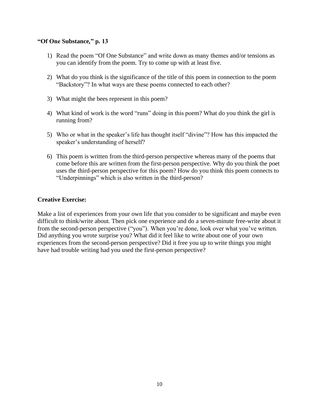# **"Of One Substance***,***" p. 13**

- 1) Read the poem "Of One Substance" and write down as many themes and/or tensions as you can identify from the poem. Try to come up with at least five.
- 2) What do you think is the significance of the title of this poem in connection to the poem "Backstory"? In what ways are these poems connected to each other?
- 3) What might the bees represent in this poem?
- 4) What kind of work is the word "runs" doing in this poem? What do you think the girl is running from?
- 5) Who or what in the speaker's life has thought itself "divine"? How has this impacted the speaker's understanding of herself?
- 6) This poem is written from the third-person perspective whereas many of the poems that come before this are written from the first-person perspective. Why do you think the poet uses the third-person perspective for this poem? How do you think this poem connects to "Underpinnings" which is also written in the third-person?

### **Creative Exercise:**

Make a list of experiences from your own life that you consider to be significant and maybe even difficult to think/write about. Then pick one experience and do a seven-minute free-write about it from the second-person perspective ("you"). When you're done, look over what you've written. Did anything you wrote surprise you? What did it feel like to write about one of your own experiences from the second-person perspective? Did it free you up to write things you might have had trouble writing had you used the first-person perspective?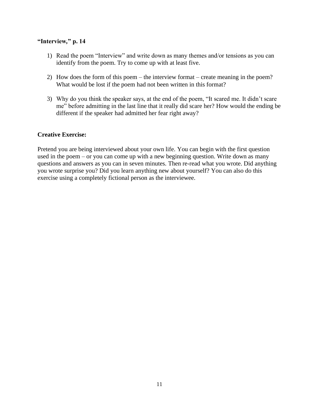# **"Interview***,***" p. 14**

- 1) Read the poem "Interview" and write down as many themes and/or tensions as you can identify from the poem. Try to come up with at least five.
- 2) How does the form of this poem the interview format create meaning in the poem? What would be lost if the poem had not been written in this format?
- 3) Why do you think the speaker says, at the end of the poem, "It scared me. It didn't scare me" before admitting in the last line that it really did scare her? How would the ending be different if the speaker had admitted her fear right away?

# **Creative Exercise:**

Pretend you are being interviewed about your own life. You can begin with the first question used in the poem – or you can come up with a new beginning question. Write down as many questions and answers as you can in seven minutes. Then re-read what you wrote. Did anything you wrote surprise you? Did you learn anything new about yourself? You can also do this exercise using a completely fictional person as the interviewee.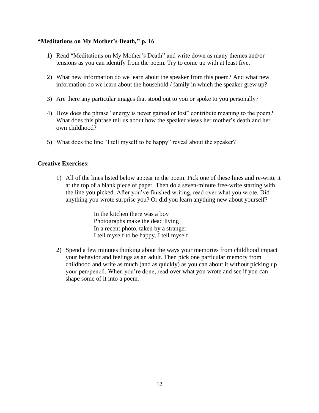# **"Meditations on My Mother's Death***,***" p. 16**

- 1) Read "Meditations on My Mother's Death" and write down as many themes and/or tensions as you can identify from the poem. Try to come up with at least five.
- 2) What new information do we learn about the speaker from this poem? And what new information do we learn about the household / family in which the speaker grew up?
- 3) Are there any particular images that stood out to you or spoke to you personally?
- 4) How does the phrase "energy is never gained or lost" contribute meaning to the poem? What does this phrase tell us about how the speaker views her mother's death and her own childhood?
- 5) What does the line "I tell myself to be happy" reveal about the speaker?

# **Creative Exercises:**

1) All of the lines listed below appear in the poem. Pick one of these lines and re-write it at the top of a blank piece of paper. Then do a seven-minute free-write starting with the line you picked. After you've finished writing, read over what you wrote. Did anything you wrote surprise you? Or did you learn anything new about yourself?

> In the kitchen there was a boy Photographs make the dead living In a recent photo, taken by a stranger I tell myself to be happy. I tell myself

2) Spend a few minutes thinking about the ways your memories from childhood impact your behavior and feelings as an adult. Then pick one particular memory from childhood and write as much (and as quickly) as you can about it without picking up your pen/pencil. When you're done, read over what you wrote and see if you can shape some of it into a poem.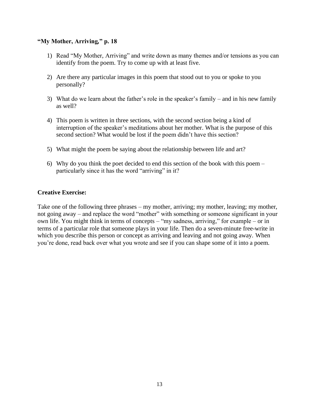# **"My Mother, Arriving***,***" p. 18**

- 1) Read "My Mother, Arriving" and write down as many themes and/or tensions as you can identify from the poem. Try to come up with at least five.
- 2) Are there any particular images in this poem that stood out to you or spoke to you personally?
- 3) What do we learn about the father's role in the speaker's family and in his new family as well?
- 4) This poem is written in three sections, with the second section being a kind of interruption of the speaker's meditations about her mother. What is the purpose of this second section? What would be lost if the poem didn't have this section?
- 5) What might the poem be saying about the relationship between life and art?
- 6) Why do you think the poet decided to end this section of the book with this poem particularly since it has the word "arriving" in it?

# **Creative Exercise:**

Take one of the following three phrases – my mother, arriving; my mother, leaving; my mother, not going away – and replace the word "mother" with something or someone significant in your own life. You might think in terms of concepts – "my sadness, arriving," for example – or in terms of a particular role that someone plays in your life. Then do a seven-minute free-write in which you describe this person or concept as arriving and leaving and not going away. When you're done, read back over what you wrote and see if you can shape some of it into a poem.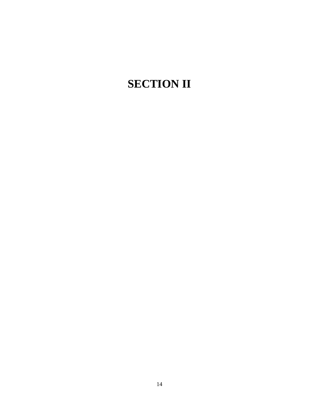# **SECTION II**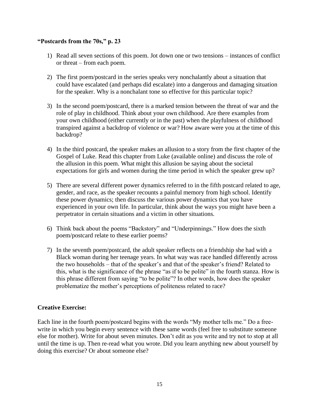# **"Postcards from the 70s," p. 23**

- 1) Read all seven sections of this poem. Jot down one or two tensions instances of conflict or threat – from each poem.
- 2) The first poem/postcard in the series speaks very nonchalantly about a situation that could have escalated (and perhaps did escalate) into a dangerous and damaging situation for the speaker. Why is a nonchalant tone so effective for this particular topic?
- 3) In the second poem/postcard, there is a marked tension between the threat of war and the role of play in childhood. Think about your own childhood. Are there examples from your own childhood (either currently or in the past) when the playfulness of childhood transpired against a backdrop of violence or war? How aware were you at the time of this backdrop?
- 4) In the third postcard, the speaker makes an allusion to a story from the first chapter of the Gospel of Luke. Read this chapter from Luke (available online) and discuss the role of the allusion in this poem. What might this allusion be saying about the societal expectations for girls and women during the time period in which the speaker grew up?
- 5) There are several different power dynamics referred to in the fifth postcard related to age, gender, and race, as the speaker recounts a painful memory from high school. Identify these power dynamics; then discuss the various power dynamics that you have experienced in your own life. In particular, think about the ways you might have been a perpetrator in certain situations and a victim in other situations.
- 6) Think back about the poems "Backstory" and "Underpinnings." How does the sixth poem/postcard relate to these earlier poems?
- 7) In the seventh poem/postcard, the adult speaker reflects on a friendship she had with a Black woman during her teenage years. In what way was race handled differently across the two households – that of the speaker's and that of the speaker's friend? Related to this, what is the significance of the phrase "as if to be polite" in the fourth stanza. How is this phrase different from saying "to be polite"? In other words, how does the speaker problematize the mother's perceptions of politeness related to race?

# **Creative Exercise:**

Each line in the fourth poem/postcard begins with the words "My mother tells me." Do a freewrite in which you begin every sentence with these same words (feel free to substitute someone else for mother). Write for about seven minutes. Don't edit as you write and try not to stop at all until the time is up. Then re-read what you wrote. Did you learn anything new about yourself by doing this exercise? Or about someone else?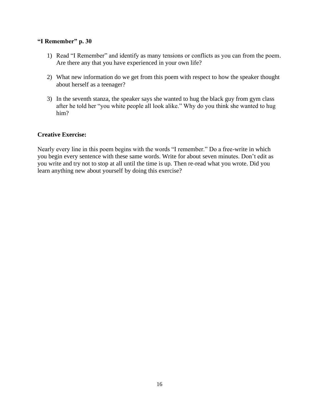#### **"I Remember" p. 30**

- 1) Read "I Remember" and identify as many tensions or conflicts as you can from the poem. Are there any that you have experienced in your own life?
- 2) What new information do we get from this poem with respect to how the speaker thought about herself as a teenager?
- 3) In the seventh stanza, the speaker says she wanted to hug the black guy from gym class after he told her "you white people all look alike." Why do you think she wanted to hug him?

### **Creative Exercise:**

Nearly every line in this poem begins with the words "I remember." Do a free-write in which you begin every sentence with these same words. Write for about seven minutes. Don't edit as you write and try not to stop at all until the time is up. Then re-read what you wrote. Did you learn anything new about yourself by doing this exercise?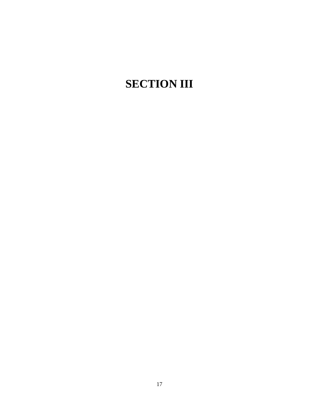# **SECTION III**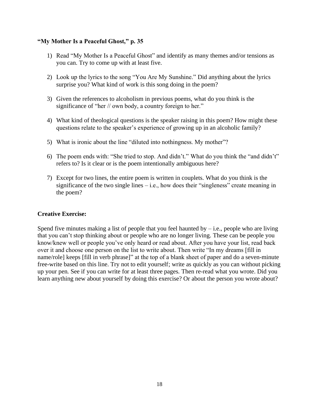# **"My Mother Is a Peaceful Ghost," p. 35**

- 1) Read "My Mother Is a Peaceful Ghost" and identify as many themes and/or tensions as you can. Try to come up with at least five.
- 2) Look up the lyrics to the song "You Are My Sunshine." Did anything about the lyrics surprise you? What kind of work is this song doing in the poem?
- 3) Given the references to alcoholism in previous poems, what do you think is the significance of "her // own body, a country foreign to her."
- 4) What kind of theological questions is the speaker raising in this poem? How might these questions relate to the speaker's experience of growing up in an alcoholic family?
- 5) What is ironic about the line "diluted into nothingness. My mother"?
- 6) The poem ends with: "She tried to stop. And didn't." What do you think the "and didn't" refers to? Is it clear or is the poem intentionally ambiguous here?
- 7) Except for two lines, the entire poem is written in couplets. What do you think is the significance of the two single lines  $-$  i.e., how does their "singleness" create meaning in the poem?

# **Creative Exercise:**

Spend five minutes making a list of people that you feel haunted by  $-$  i.e., people who are living that you can't stop thinking about or people who are no longer living. These can be people you know/knew well or people you've only heard or read about. After you have your list, read back over it and choose one person on the list to write about. Then write "In my dreams [fill in name/role] keeps [fill in verb phrase]" at the top of a blank sheet of paper and do a seven-minute free-write based on this line. Try not to edit yourself; write as quickly as you can without picking up your pen. See if you can write for at least three pages. Then re-read what you wrote. Did you learn anything new about yourself by doing this exercise? Or about the person you wrote about?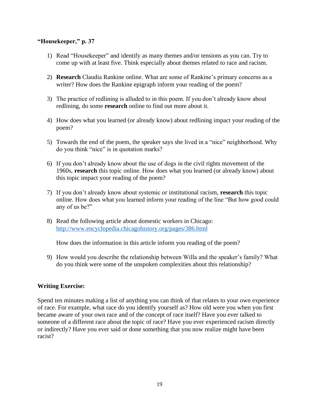#### **"Housekeeper," p. 37**

- 1) Read "Housekeeper" and identify as many themes and/or tensions as you can. Try to come up with at least five. Think especially about themes related to race and racism.
- 2) **Research** Claudia Rankine online. What are some of Rankine's primary concerns as a writer? How does the Rankine epigraph inform your reading of the poem?
- 3) The practice of redlining is alluded to in this poem. If you don't already know about redlining, do some **research** online to find out more about it.
- 4) How does what you learned (or already know) about redlining impact your reading of the poem?
- 5) Towards the end of the poem, the speaker says she lived in a "nice" neighborhood. Why do you think "nice" is in quotation marks?
- 6) If you don't already know about the use of dogs in the civil rights movement of the 1960s, **research** this topic online. How does what you learned (or already know) about this topic impact your reading of the poem?
- 7) If you don't already know about systemic or institutional racism, **research** this topic online. How does what you learned inform your reading of the line "But how good could any of us be?"
- 8) Read the following article about domestic workers in Chicago: <http://www.encyclopedia.chicagohistory.org/pages/386.html>

How does the information in this article inform you reading of the poem?

9) How would you describe the relationship between Willa and the speaker's family? What do you think were some of the unspoken complexities about this relationship?

### **Writing Exercise:**

Spend ten minutes making a list of anything you can think of that relates to your own experience of race. For example, what race do you identify yourself as? How old were you when you first became aware of your own race and of the concept of race itself? Have you ever talked to someone of a different race about the topic of race? Have you ever experienced racism directly or indirectly? Have you ever said or done something that you now realize might have been racist?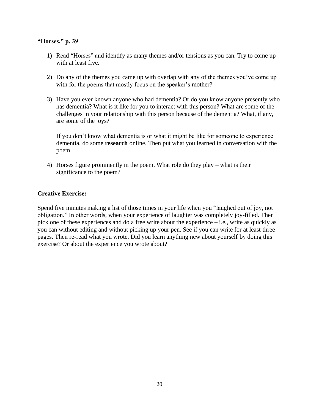# **"Horses," p. 39**

- 1) Read "Horses" and identify as many themes and/or tensions as you can. Try to come up with at least five.
- 2) Do any of the themes you came up with overlap with any of the themes you've come up with for the poems that mostly focus on the speaker's mother?
- 3) Have you ever known anyone who had dementia? Or do you know anyone presently who has dementia? What is it like for you to interact with this person? What are some of the challenges in your relationship with this person because of the dementia? What, if any, are some of the joys?

If you don't know what dementia is or what it might be like for someone to experience dementia, do some **research** online. Then put what you learned in conversation with the poem.

4) Horses figure prominently in the poem. What role do they play – what is their significance to the poem?

# **Creative Exercise:**

Spend five minutes making a list of those times in your life when you "laughed out of joy, not obligation." In other words, when your experience of laughter was completely joy-filled. Then pick one of these experiences and do a free write about the experience – i.e., write as quickly as you can without editing and without picking up your pen. See if you can write for at least three pages. Then re-read what you wrote. Did you learn anything new about yourself by doing this exercise? Or about the experience you wrote about?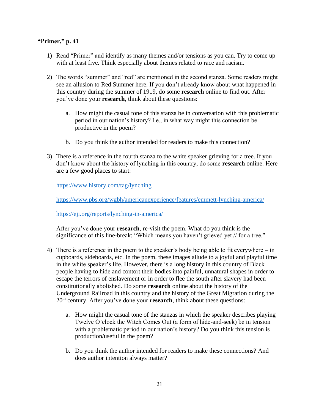# **"Primer," p. 41**

- 1) Read "Primer" and identify as many themes and/or tensions as you can. Try to come up with at least five. Think especially about themes related to race and racism.
- 2) The words "summer" and "red" are mentioned in the second stanza. Some readers might see an allusion to Red Summer here. If you don't already know about what happened in this country during the summer of 1919, do some **research** online to find out. After you've done your **research**, think about these questions:
	- a. How might the casual tone of this stanza be in conversation with this problematic period in our nation's history? I.e., in what way might this connection be productive in the poem?
	- b. Do you think the author intended for readers to make this connection?
- 3) There is a reference in the fourth stanza to the white speaker grieving for a tree. If you don't know about the history of lynching in this country, do some **research** online. Here are a few good places to start:

<https://www.history.com/tag/lynching>

<https://www.pbs.org/wgbh/americanexperience/features/emmett-lynching-america/>

<https://eji.org/reports/lynching-in-america/>

After you've done your **research**, re-visit the poem. What do you think is the significance of this line-break: "Which means you haven't grieved yet // for a tree."

- 4) There is a reference in the poem to the speaker's body being able to fit everywhere in cupboards, sideboards, etc. In the poem, these images allude to a joyful and playful time in the white speaker's life. However, there is a long history in this country of Black people having to hide and contort their bodies into painful, unnatural shapes in order to escape the terrors of enslavement or in order to flee the south after slavery had been constitutionally abolished. Do some **research** online about the history of the Underground Railroad in this country and the history of the Great Migration during the 20<sup>th</sup> century. After you've done your **research**, think about these questions:
	- a. How might the casual tone of the stanzas in which the speaker describes playing Twelve O'clock the Witch Comes Out (a form of hide-and-seek) be in tension with a problematic period in our nation's history? Do you think this tension is production/useful in the poem?
	- b. Do you think the author intended for readers to make these connections? And does author intention always matter?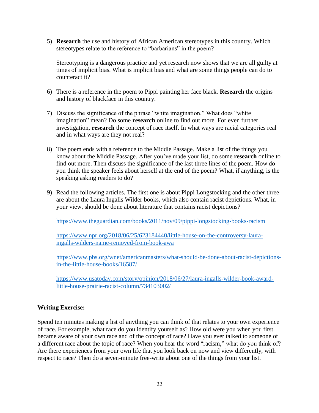5) **Research** the use and history of African American stereotypes in this country. Which stereotypes relate to the reference to "barbarians" in the poem?

Stereotyping is a dangerous practice and yet research now shows that we are all guilty at times of implicit bias. What is implicit bias and what are some things people can do to counteract it?

- 6) There is a reference in the poem to Pippi painting her face black. **Research** the origins and history of blackface in this country.
- 7) Discuss the significance of the phrase "white imagination." What does "white imagination" mean? Do some **research** online to find out more. For even further investigation, **research** the concept of race itself. In what ways are racial categories real and in what ways are they not real?
- 8) The poem ends with a reference to the Middle Passage. Make a list of the things you know about the Middle Passage. After you've made your list, do some **research** online to find out more. Then discuss the significance of the last three lines of the poem. How do you think the speaker feels about herself at the end of the poem? What, if anything, is the speaking asking readers to do?
- 9) Read the following articles. The first one is about Pippi Longstocking and the other three are about the Laura Ingalls Wilder books, which also contain racist depictions. What, in your view, should be done about literature that contains racist depictions?

<https://www.theguardian.com/books/2011/nov/09/pippi-longstocking-books-racism>

[https://www.npr.org/2018/06/25/623184440/little-house-on-the-controversy-laura](https://www.npr.org/2018/06/25/623184440/little-house-on-the-controversy-laura-ingalls-wilders-name-removed-from-book-awa)[ingalls-wilders-name-removed-from-book-awa](https://www.npr.org/2018/06/25/623184440/little-house-on-the-controversy-laura-ingalls-wilders-name-removed-from-book-awa)

[https://www.pbs.org/wnet/americanmasters/what-should-be-done-about-racist-depictions](https://www.pbs.org/wnet/americanmasters/what-should-be-done-about-racist-depictions-in-the-little-house-books/16587/)[in-the-little-house-books/16587/](https://www.pbs.org/wnet/americanmasters/what-should-be-done-about-racist-depictions-in-the-little-house-books/16587/)

[https://www.usatoday.com/story/opinion/2018/06/27/laura-ingalls-wilder-book-award](https://www.usatoday.com/story/opinion/2018/06/27/laura-ingalls-wilder-book-award-little-house-prairie-racist-column/734103002/)[little-house-prairie-racist-column/734103002/](https://www.usatoday.com/story/opinion/2018/06/27/laura-ingalls-wilder-book-award-little-house-prairie-racist-column/734103002/)

# **Writing Exercise:**

Spend ten minutes making a list of anything you can think of that relates to your own experience of race. For example, what race do you identify yourself as? How old were you when you first became aware of your own race and of the concept of race? Have you ever talked to someone of a different race about the topic of race? When you hear the word "racism," what do you think of? Are there experiences from your own life that you look back on now and view differently, with respect to race? Then do a seven-minute free-write about one of the things from your list.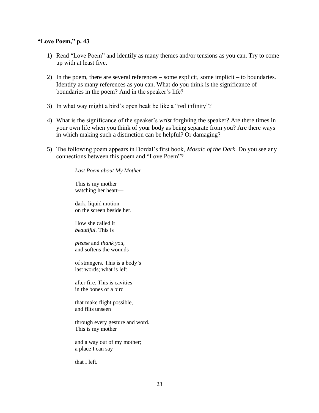#### **"Love Poem," p. 43**

- 1) Read "Love Poem" and identify as many themes and/or tensions as you can. Try to come up with at least five.
- 2) In the poem, there are several references some explicit, some implicit to boundaries. Identify as many references as you can. What do you think is the significance of boundaries in the poem? And in the speaker's life?
- 3) In what way might a bird's open beak be like a "red infinity"?
- 4) What is the significance of the speaker's *wrist* forgiving the speaker? Are there times in your own life when you think of your body as being separate from you? Are there ways in which making such a distinction can be helpful? Or damaging?
- 5) The following poem appears in Dordal's first book, *Mosaic of the Dark*. Do you see any connections between this poem and "Love Poem"?

*Last Poem about My Mother*

This is my mother watching her heart—

dark, liquid motion on the screen beside her.

How she called it *beautiful*. This is

*please* and *thank you*, and softens the wounds

of strangers. This is a body's last words; what is left

after fire. This is cavities in the bones of a bird

that make flight possible, and flits unseen

through every gesture and word. This is my mother

and a way out of my mother; a place I can say

that I left.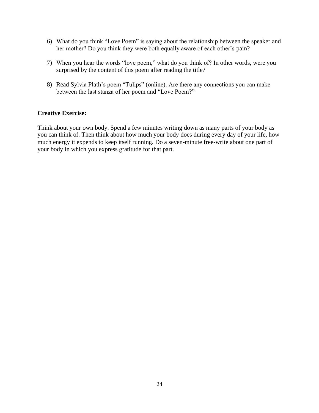- 6) What do you think "Love Poem" is saying about the relationship between the speaker and her mother? Do you think they were both equally aware of each other's pain?
- 7) When you hear the words "love poem," what do you think of? In other words, were you surprised by the content of this poem after reading the title?
- 8) Read Sylvia Plath's poem "Tulips" (online). Are there any connections you can make between the last stanza of her poem and "Love Poem?"

# **Creative Exercise:**

Think about your own body. Spend a few minutes writing down as many parts of your body as you can think of. Then think about how much your body does during every day of your life, how much energy it expends to keep itself running. Do a seven-minute free-write about one part of your body in which you express gratitude for that part.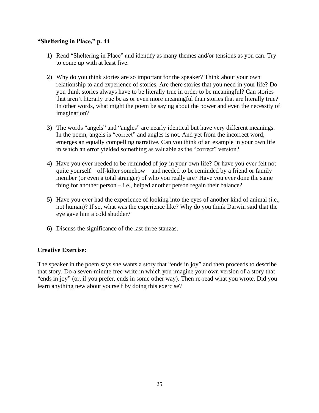# **"Sheltering in Place," p. 44**

- 1) Read "Sheltering in Place" and identify as many themes and/or tensions as you can. Try to come up with at least five.
- 2) Why do you think stories are so important for the speaker? Think about your own relationship to and experience of stories. Are there stories that you need in your life? Do you think stories always have to be literally true in order to be meaningful? Can stories that aren't literally true be as or even more meaningful than stories that are literally true? In other words, what might the poem be saying about the power and even the necessity of imagination?
- 3) The words "angels" and "angles" are nearly identical but have very different meanings. In the poem, angels is "correct" and angles is not. And yet from the incorrect word, emerges an equally compelling narrative. Can you think of an example in your own life in which an error yielded something as valuable as the "correct" version?
- 4) Have you ever needed to be reminded of joy in your own life? Or have you ever felt not quite yourself – off-kilter somehow – and needed to be reminded by a friend or family member (or even a total stranger) of who you really are? Have you ever done the same thing for another person – i.e., helped another person regain their balance?
- 5) Have you ever had the experience of looking into the eyes of another kind of animal (i.e., not human)? If so, what was the experience like? Why do you think Darwin said that the eye gave him a cold shudder?
- 6) Discuss the significance of the last three stanzas.

### **Creative Exercise:**

The speaker in the poem says she wants a story that "ends in joy" and then proceeds to describe that story. Do a seven-minute free-write in which you imagine your own version of a story that "ends in joy" (or, if you prefer, ends in some other way). Then re-read what you wrote. Did you learn anything new about yourself by doing this exercise?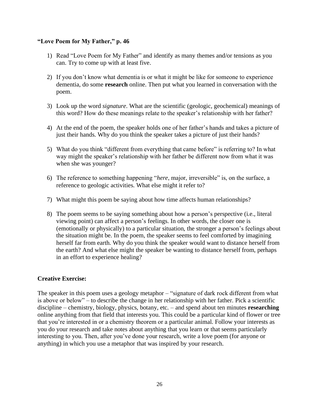# **"Love Poem for My Father," p. 46**

- 1) Read "Love Poem for My Father" and identify as many themes and/or tensions as you can. Try to come up with at least five.
- 2) If you don't know what dementia is or what it might be like for someone to experience dementia, do some **research** online. Then put what you learned in conversation with the poem.
- 3) Look up the word *signature*. What are the scientific (geologic, geochemical) meanings of this word? How do these meanings relate to the speaker's relationship with her father?
- 4) At the end of the poem, the speaker holds one of her father's hands and takes a picture of just their hands. Why do you think the speaker takes a picture of just their hands?
- 5) What do you think "different from everything that came before" is referring to? In what way might the speaker's relationship with her father be different now from what it was when she was younger?
- 6) The reference to something happening "*here*, major, irreversible" is, on the surface, a reference to geologic activities. What else might it refer to?
- 7) What might this poem be saying about how time affects human relationships?
- 8) The poem seems to be saying something about how a person's perspective (i.e., literal viewing point) can affect a person's feelings. In other words, the closer one is (emotionally or physically) to a particular situation, the stronger a person's feelings about the situation might be. In the poem, the speaker seems to feel comforted by imagining herself far from earth. Why do you think the speaker would want to distance herself from the earth? And what else might the speaker be wanting to distance herself from, perhaps in an effort to experience healing?

# **Creative Exercise:**

The speaker in this poem uses a geology metaphor – "signature of dark rock different from what is above or below" – to describe the change in her relationship with her father. Pick a scientific discipline – chemistry, biology, physics, botany, etc. – and spend about ten minutes **researching** online anything from that field that interests you. This could be a particular kind of flower or tree that you're interested in or a chemistry theorem or a particular animal. Follow your interests as you do your research and take notes about anything that you learn or that seems particularly interesting to you. Then, after you've done your research, write a love poem (for anyone or anything) in which you use a metaphor that was inspired by your research.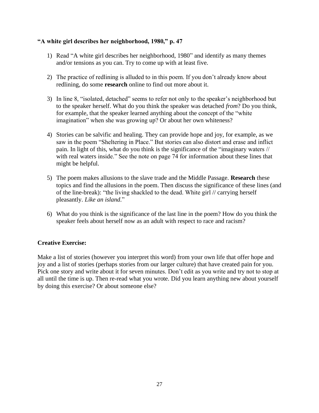# **"A white girl describes her neighborhood, 1980," p. 47**

- 1) Read "A white girl describes her neighborhood, 1980" and identify as many themes and/or tensions as you can. Try to come up with at least five.
- 2) The practice of redlining is alluded to in this poem. If you don't already know about redlining, do some **research** online to find out more about it.
- 3) In line 8, "isolated, detached" seems to refer not only to the speaker's neighborhood but to the speaker herself. What do you think the speaker was detached *from*? Do you think, for example, that the speaker learned anything about the concept of the "white imagination" when she was growing up? Or about her own whiteness?
- 4) Stories can be salvific and healing. They can provide hope and joy, for example, as we saw in the poem "Sheltering in Place." But stories can also distort and erase and inflict pain. In light of this, what do you think is the significance of the "imaginary waters // with real waters inside." See the note on page 74 for information about these lines that might be helpful.
- 5) The poem makes allusions to the slave trade and the Middle Passage. **Research** these topics and find the allusions in the poem. Then discuss the significance of these lines (and of the line-break): "the living shackled to the dead. White girl // carrying herself pleasantly. *Like an island*."
- 6) What do you think is the significance of the last line in the poem? How do you think the speaker feels about herself now as an adult with respect to race and racism?

# **Creative Exercise:**

Make a list of stories (however you interpret this word) from your own life that offer hope and joy and a list of stories (perhaps stories from our larger culture) that have created pain for you. Pick one story and write about it for seven minutes. Don't edit as you write and try not to stop at all until the time is up. Then re-read what you wrote. Did you learn anything new about yourself by doing this exercise? Or about someone else?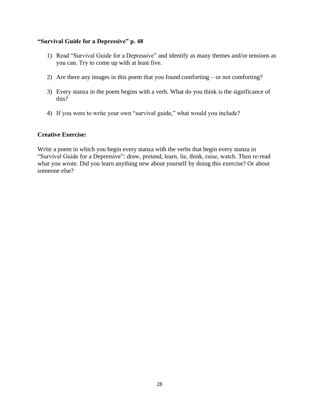# **"Survival Guide for a Depressive" p. 48**

- 1) Read "Survival Guide for a Depressive" and identify as many themes and/or tensions as you can. Try to come up with at least five.
- 2) Are there any images in this poem that you found comforting or not comforting?
- 3) Every stanza in the poem begins with a verb. What do you think is the significance of this?
- 4) If you were to write your own "survival guide," what would you include?

# **Creative Exercise:**

Write a poem in which you begin every stanza with the verbs that begin every stanza in "Survival Guide for a Depressive": draw, pretend, learn, lie, think, raise, watch. Then re-read what you wrote. Did you learn anything new about yourself by doing this exercise? Or about someone else?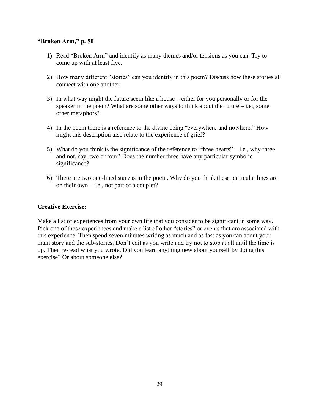#### **"Broken Arm," p. 50**

- 1) Read "Broken Arm" and identify as many themes and/or tensions as you can. Try to come up with at least five.
- 2) How many different "stories" can you identify in this poem? Discuss how these stories all connect with one another.
- 3) In what way might the future seem like a house either for you personally or for the speaker in the poem? What are some other ways to think about the future  $-i.e.,$  some other metaphors?
- 4) In the poem there is a reference to the divine being "everywhere and nowhere." How might this description also relate to the experience of grief?
- 5) What do you think is the significance of the reference to "three hearts"  $-$  i.e., why three and not, say, two or four? Does the number three have any particular symbolic significance?
- 6) There are two one-lined stanzas in the poem. Why do you think these particular lines are on their own  $-$  i.e., not part of a couplet?

# **Creative Exercise:**

Make a list of experiences from your own life that you consider to be significant in some way. Pick one of these experiences and make a list of other "stories" or events that are associated with this experience. Then spend seven minutes writing as much and as fast as you can about your main story and the sub-stories. Don't edit as you write and try not to stop at all until the time is up. Then re-read what you wrote. Did you learn anything new about yourself by doing this exercise? Or about someone else?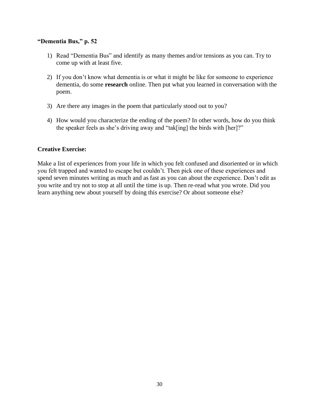#### **"Dementia Bus," p. 52**

- 1) Read "Dementia Bus" and identify as many themes and/or tensions as you can. Try to come up with at least five.
- 2) If you don't know what dementia is or what it might be like for someone to experience dementia, do some **research** online. Then put what you learned in conversation with the poem.
- 3) Are there any images in the poem that particularly stood out to you?
- 4) How would you characterize the ending of the poem? In other words, how do you think the speaker feels as she's driving away and "tak[ing] the birds with [her]?"

### **Creative Exercise:**

Make a list of experiences from your life in which you felt confused and disoriented or in which you felt trapped and wanted to escape but couldn't. Then pick one of these experiences and spend seven minutes writing as much and as fast as you can about the experience. Don't edit as you write and try not to stop at all until the time is up. Then re-read what you wrote. Did you learn anything new about yourself by doing this exercise? Or about someone else?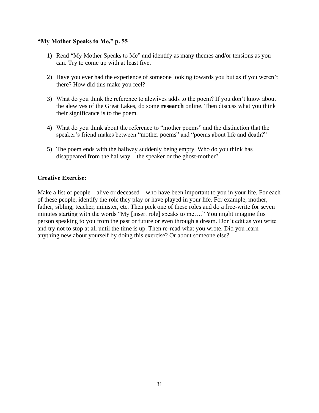# **"My Mother Speaks to Me," p. 55**

- 1) Read "My Mother Speaks to Me" and identify as many themes and/or tensions as you can. Try to come up with at least five.
- 2) Have you ever had the experience of someone looking towards you but as if you weren't there? How did this make you feel?
- 3) What do you think the reference to alewives adds to the poem? If you don't know about the alewives of the Great Lakes, do some **research** online. Then discuss what you think their significance is to the poem.
- 4) What do you think about the reference to "mother poems" and the distinction that the speaker's friend makes between "mother poems" and "poems about life and death?"
- 5) The poem ends with the hallway suddenly being empty. Who do you think has disappeared from the hallway – the speaker or the ghost-mother?

# **Creative Exercise:**

Make a list of people—alive or deceased—who have been important to you in your life. For each of these people, identify the role they play or have played in your life. For example, mother, father, sibling, teacher, minister, etc. Then pick one of these roles and do a free-write for seven minutes starting with the words "My [insert role] speaks to me…." You might imagine this person speaking to you from the past or future or even through a dream. Don't edit as you write and try not to stop at all until the time is up. Then re-read what you wrote. Did you learn anything new about yourself by doing this exercise? Or about someone else?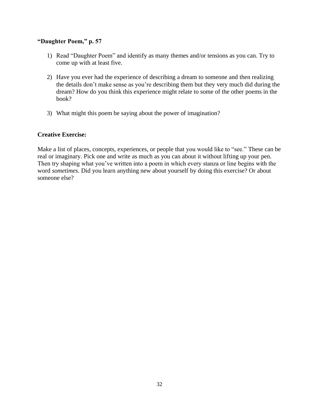# **"Daughter Poem," p. 57**

- 1) Read "Daughter Poem" and identify as many themes and/or tensions as you can. Try to come up with at least five.
- 2) Have you ever had the experience of describing a dream to someone and then realizing the details don't make sense as you're describing them but they very much did during the dream? How do you think this experience might relate to some of the other poems in the book?
- 3) What might this poem be saying about the power of imagination?

# **Creative Exercise:**

Make a list of places, concepts, experiences, or people that you would like to "see." These can be real or imaginary. Pick one and write as much as you can about it without lifting up your pen. Then try shaping what you've written into a poem in which every stanza or line begins with the word *sometimes*. Did you learn anything new about yourself by doing this exercise? Or about someone else?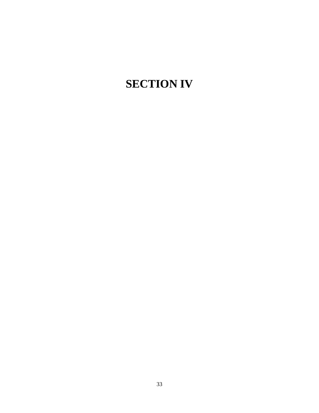# **SECTION IV**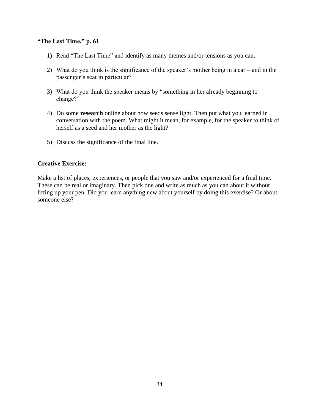# **"The Last Time," p. 61**

- 1) Read "The Last Time" and identify as many themes and/or tensions as you can.
- 2) What do you think is the significance of the speaker's mother being in a car and in the passenger's seat in particular?
- 3) What do you think the speaker means by "something in her already beginning to change?"
- 4) Do some **research** online about how seeds sense light. Then put what you learned in conversation with the poem. What might it mean, for example, for the speaker to think of herself as a seed and her mother as the light?
- 5) Discuss the significance of the final line.

# **Creative Exercise:**

Make a list of places, experiences, or people that you saw and/or experienced for a final time. These can be real or imaginary. Then pick one and write as much as you can about it without lifting up your pen. Did you learn anything new about yourself by doing this exercise? Or about someone else?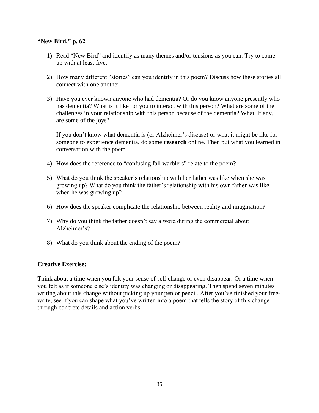# **"New Bird," p. 62**

- 1) Read "New Bird" and identify as many themes and/or tensions as you can. Try to come up with at least five.
- 2) How many different "stories" can you identify in this poem? Discuss how these stories all connect with one another.
- 3) Have you ever known anyone who had dementia? Or do you know anyone presently who has dementia? What is it like for you to interact with this person? What are some of the challenges in your relationship with this person because of the dementia? What, if any, are some of the joys?

If you don't know what dementia is (or Alzheimer's disease) or what it might be like for someone to experience dementia, do some **research** online. Then put what you learned in conversation with the poem.

- 4) How does the reference to "confusing fall warblers" relate to the poem?
- 5) What do you think the speaker's relationship with her father was like when she was growing up? What do you think the father's relationship with his own father was like when he was growing up?
- 6) How does the speaker complicate the relationship between reality and imagination?
- 7) Why do you think the father doesn't say a word during the commercial about Alzheimer's?
- 8) What do you think about the ending of the poem?

### **Creative Exercise:**

Think about a time when you felt your sense of self change or even disappear. Or a time when you felt as if someone else's identity was changing or disappearing. Then spend seven minutes writing about this change without picking up your pen or pencil. After you've finished your freewrite, see if you can shape what you've written into a poem that tells the story of this change through concrete details and action verbs.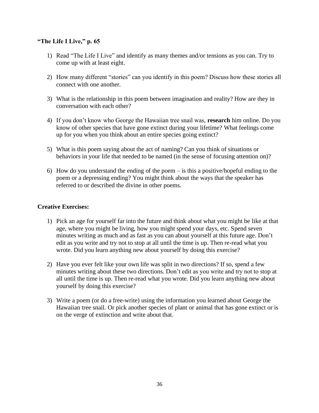# **"The Life I Live," p. 65**

- 1) Read "The Life I Live" and identify as many themes and/or tensions as you can. Try to come up with at least eight.
- 2) How many different "stories" can you identify in this poem? Discuss how these stories all connect with one another.
- 3) What is the relationship in this poem between imagination and reality? How are they in conversation with each other?
- 4) If you don't know who George the Hawaiian tree snail was, **research** him online. Do you know of other species that have gone extinct during your lifetime? What feelings come up for you when you think about an entire species going extinct?
- 5) What is this poem saying about the act of naming? Can you think of situations or behaviors in your life that needed to be named (in the sense of focusing attention on)?
- 6) How do you understand the ending of the poem is this a positive/hopeful ending to the poem or a depressing ending? You might think about the ways that the speaker has referred to or described the divine in other poems.

# **Creative Exercises:**

- 1) Pick an age for yourself far into the future and think about what you might be like at that age, where you might be living, how you might spend your days, etc. Spend seven minutes writing as much and as fast as you can about yourself at this future age. Don't edit as you write and try not to stop at all until the time is up. Then re-read what you wrote. Did you learn anything new about yourself by doing this exercise?
- 2) Have you ever felt like your own life was split in two directions? If so, spend a few minutes writing about these two directions. Don't edit as you write and try not to stop at all until the time is up. Then re-read what you wrote. Did you learn anything new about yourself by doing this exercise?
- 3) Write a poem (or do a free-write) using the information you learned about George the Hawaiian tree snail. Or pick another species of plant or animal that has gone extinct or is on the verge of extinction and write about that.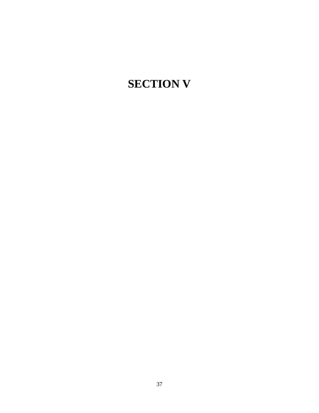# **SECTION V**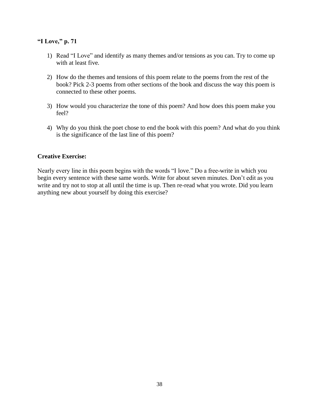# **"I Love," p. 71**

- 1) Read "I Love" and identify as many themes and/or tensions as you can. Try to come up with at least five.
- 2) How do the themes and tensions of this poem relate to the poems from the rest of the book? Pick 2-3 poems from other sections of the book and discuss the way this poem is connected to these other poems.
- 3) How would you characterize the tone of this poem? And how does this poem make you feel?
- 4) Why do you think the poet chose to end the book with this poem? And what do you think is the significance of the last line of this poem?

# **Creative Exercise:**

Nearly every line in this poem begins with the words "I love." Do a free-write in which you begin every sentence with these same words. Write for about seven minutes. Don't edit as you write and try not to stop at all until the time is up. Then re-read what you wrote. Did you learn anything new about yourself by doing this exercise?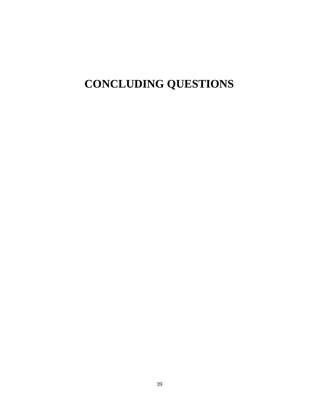# **CONCLUDING QUESTIONS**